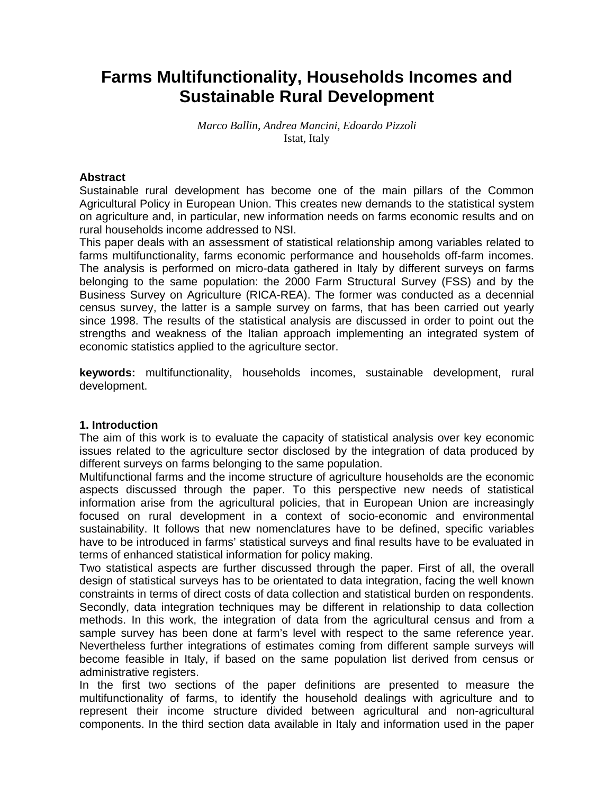# **Farms Multifunctionality, Households Incomes and Sustainable Rural Development**

#### *Marco Ballin, Andrea Mancini, Edoardo Pizzoli*  Istat, Italy

# **Abstract**

Sustainable rural development has become one of the main pillars of the Common Agricultural Policy in European Union. This creates new demands to the statistical system on agriculture and, in particular, new information needs on farms economic results and on rural households income addressed to NSI.

This paper deals with an assessment of statistical relationship among variables related to farms multifunctionality, farms economic performance and households off-farm incomes. The analysis is performed on micro-data gathered in Italy by different surveys on farms belonging to the same population: the 2000 Farm Structural Survey (FSS) and by the Business Survey on Agriculture (RICA-REA). The former was conducted as a decennial census survey, the latter is a sample survey on farms, that has been carried out yearly since 1998. The results of the statistical analysis are discussed in order to point out the strengths and weakness of the Italian approach implementing an integrated system of economic statistics applied to the agriculture sector.

**keywords:** multifunctionality, households incomes, sustainable development, rural development.

#### **1. Introduction**

The aim of this work is to evaluate the capacity of statistical analysis over key economic issues related to the agriculture sector disclosed by the integration of data produced by different surveys on farms belonging to the same population.

Multifunctional farms and the income structure of agriculture households are the economic aspects discussed through the paper. To this perspective new needs of statistical information arise from the agricultural policies, that in European Union are increasingly focused on rural development in a context of socio-economic and environmental sustainability. It follows that new nomenclatures have to be defined, specific variables have to be introduced in farms' statistical surveys and final results have to be evaluated in terms of enhanced statistical information for policy making.

Two statistical aspects are further discussed through the paper. First of all, the overall design of statistical surveys has to be orientated to data integration, facing the well known constraints in terms of direct costs of data collection and statistical burden on respondents. Secondly, data integration techniques may be different in relationship to data collection methods. In this work, the integration of data from the agricultural census and from a sample survey has been done at farm's level with respect to the same reference year. Nevertheless further integrations of estimates coming from different sample surveys will become feasible in Italy, if based on the same population list derived from census or administrative registers.

In the first two sections of the paper definitions are presented to measure the multifunctionality of farms, to identify the household dealings with agriculture and to represent their income structure divided between agricultural and non-agricultural components. In the third section data available in Italy and information used in the paper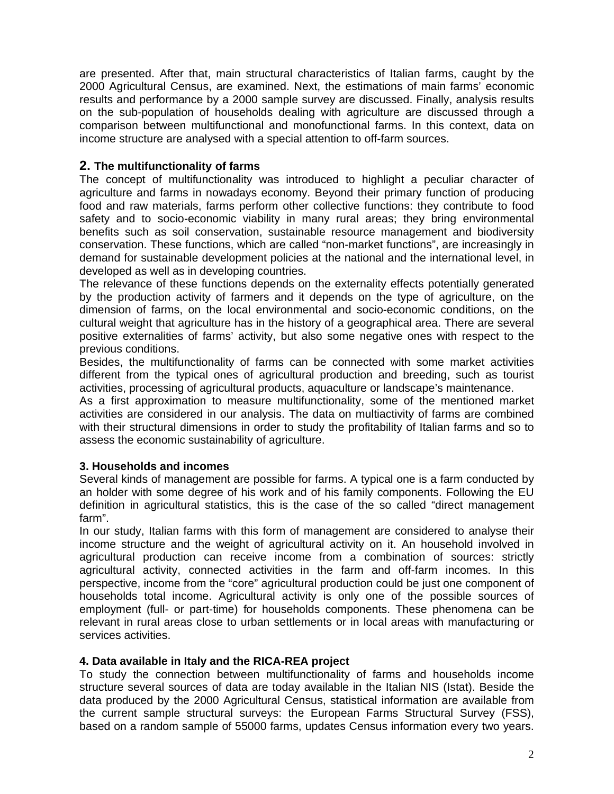are presented. After that, main structural characteristics of Italian farms, caught by the 2000 Agricultural Census, are examined. Next, the estimations of main farms' economic results and performance by a 2000 sample survey are discussed. Finally, analysis results on the sub-population of households dealing with agriculture are discussed through a comparison between multifunctional and monofunctional farms. In this context, data on income structure are analysed with a special attention to off-farm sources.

# **2. The multifunctionality of farms**

The concept of multifunctionality was introduced to highlight a peculiar character of agriculture and farms in nowadays economy. Beyond their primary function of producing food and raw materials, farms perform other collective functions: they contribute to food safety and to socio-economic viability in many rural areas; they bring environmental benefits such as soil conservation, sustainable resource management and biodiversity conservation. These functions, which are called "non-market functions", are increasingly in demand for sustainable development policies at the national and the international level, in developed as well as in developing countries.

The relevance of these functions depends on the externality effects potentially generated by the production activity of farmers and it depends on the type of agriculture, on the dimension of farms, on the local environmental and socio-economic conditions, on the cultural weight that agriculture has in the history of a geographical area. There are several positive externalities of farms' activity, but also some negative ones with respect to the previous conditions.

Besides, the multifunctionality of farms can be connected with some market activities different from the typical ones of agricultural production and breeding, such as tourist activities, processing of agricultural products, aquaculture or landscape's maintenance.

As a first approximation to measure multifunctionality, some of the mentioned market activities are considered in our analysis. The data on multiactivity of farms are combined with their structural dimensions in order to study the profitability of Italian farms and so to assess the economic sustainability of agriculture.

# **3. Households and incomes**

Several kinds of management are possible for farms. A typical one is a farm conducted by an holder with some degree of his work and of his family components. Following the EU definition in agricultural statistics, this is the case of the so called "direct management farm".

In our study, Italian farms with this form of management are considered to analyse their income structure and the weight of agricultural activity on it. An household involved in agricultural production can receive income from a combination of sources: strictly agricultural activity, connected activities in the farm and off-farm incomes. In this perspective, income from the "core" agricultural production could be just one component of households total income. Agricultural activity is only one of the possible sources of employment (full- or part-time) for households components. These phenomena can be relevant in rural areas close to urban settlements or in local areas with manufacturing or services activities.

# **4. Data available in Italy and the RICA-REA project**

To study the connection between multifunctionality of farms and households income structure several sources of data are today available in the Italian NIS (Istat). Beside the data produced by the 2000 Agricultural Census, statistical information are available from the current sample structural surveys: the European Farms Structural Survey (FSS), based on a random sample of 55000 farms, updates Census information every two years.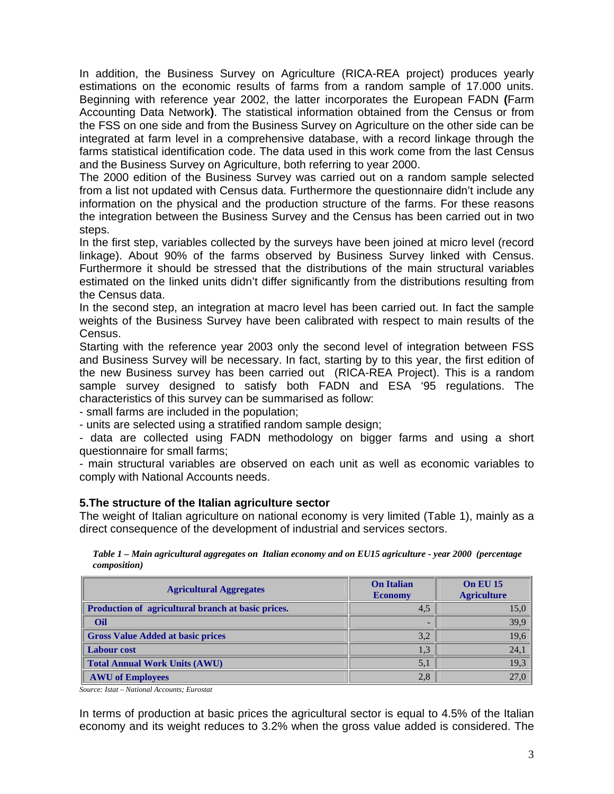In addition, the Business Survey on Agriculture (RICA-REA project) produces yearly estimations on the economic results of farms from a random sample of 17.000 units. Beginning with reference year 2002, the latter incorporates the European FADN **(**Farm Accounting Data Network**)**. The statistical information obtained from the Census or from the FSS on one side and from the Business Survey on Agriculture on the other side can be integrated at farm level in a comprehensive database, with a record linkage through the farms statistical identification code. The data used in this work come from the last Census and the Business Survey on Agriculture, both referring to year 2000.

The 2000 edition of the Business Survey was carried out on a random sample selected from a list not updated with Census data. Furthermore the questionnaire didn't include any information on the physical and the production structure of the farms. For these reasons the integration between the Business Survey and the Census has been carried out in two steps.

In the first step, variables collected by the surveys have been joined at micro level (record linkage). About 90% of the farms observed by Business Survey linked with Census. Furthermore it should be stressed that the distributions of the main structural variables estimated on the linked units didn't differ significantly from the distributions resulting from the Census data.

In the second step, an integration at macro level has been carried out. In fact the sample weights of the Business Survey have been calibrated with respect to main results of the Census.

Starting with the reference year 2003 only the second level of integration between FSS and Business Survey will be necessary. In fact, starting by to this year, the first edition of the new Business survey has been carried out (RICA-REA Project). This is a random sample survey designed to satisfy both FADN and ESA '95 regulations. The characteristics of this survey can be summarised as follow:

- small farms are included in the population;

- units are selected using a stratified random sample design;

- data are collected using FADN methodology on bigger farms and using a short questionnaire for small farms;

- main structural variables are observed on each unit as well as economic variables to comply with National Accounts needs.

# **5.The structure of the Italian agriculture sector**

The weight of Italian agriculture on national economy is very limited (Table 1), mainly as a direct consequence of the development of industrial and services sectors.

| Table 1 – Main agricultural aggregates on Italian economy and on EU15 agriculture - year 2000 (percentage |  |  |
|-----------------------------------------------------------------------------------------------------------|--|--|
| <i>composition</i> )                                                                                      |  |  |

| <b>Agricultural Aggregates</b>                     | <b>On Italian</b><br><b>Economy</b> | <b>On EU 15</b><br><b>Agriculture</b> |
|----------------------------------------------------|-------------------------------------|---------------------------------------|
| Production of agricultural branch at basic prices. | 4,5                                 | 15,0                                  |
| Oil                                                |                                     | 39,9                                  |
| <b>Gross Value Added at basic prices</b>           | 3,2                                 | 19,6                                  |
| <b>Labour cost</b>                                 |                                     | 24,1                                  |
| Total Annual Work Units (AWU)                      | 5.1                                 | 19,3                                  |
| <b>AWU</b> of Employees                            | 2,8                                 | 27,0                                  |

*Source: Istat – National Accounts; Eurostat*

In terms of production at basic prices the agricultural sector is equal to 4.5% of the Italian economy and its weight reduces to 3.2% when the gross value added is considered. The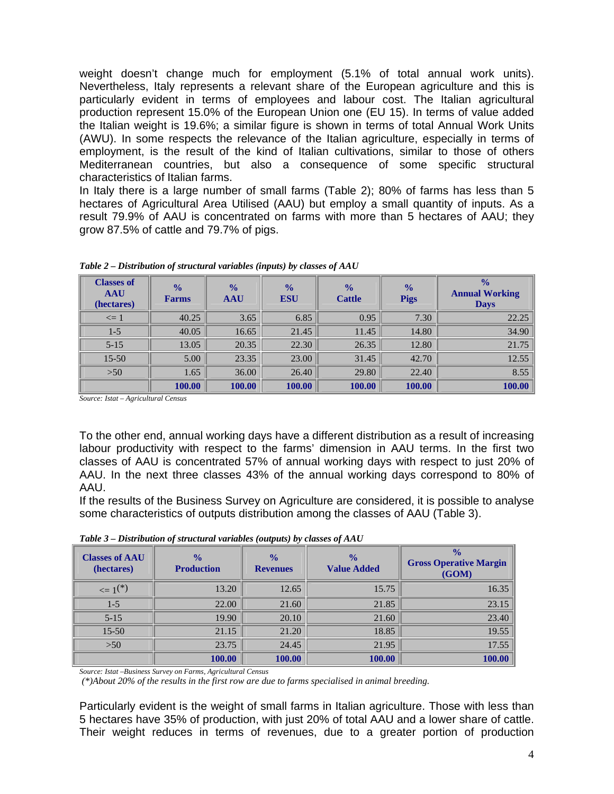weight doesn't change much for employment (5.1% of total annual work units). Nevertheless, Italy represents a relevant share of the European agriculture and this is particularly evident in terms of employees and labour cost. The Italian agricultural production represent 15.0% of the European Union one (EU 15). In terms of value added the Italian weight is 19.6%; a similar figure is shown in terms of total Annual Work Units (AWU). In some respects the relevance of the Italian agriculture, especially in terms of employment, is the result of the kind of Italian cultivations, similar to those of others Mediterranean countries, but also a consequence of some specific structural characteristics of Italian farms.

In Italy there is a large number of small farms (Table 2); 80% of farms has less than 5 hectares of Agricultural Area Utilised (AAU) but employ a small quantity of inputs. As a result 79.9% of AAU is concentrated on farms with more than 5 hectares of AAU; they grow 87.5% of cattle and 79.7% of pigs.

| <b>Classes of</b><br><b>AAU</b><br>(hectares) | $\frac{0}{0}$<br><b>Farms</b> | $\frac{0}{0}$<br><b>AAU</b> | $\frac{0}{0}$<br><b>ESU</b> | $\frac{0}{0}$<br><b>Cattle</b> | $\frac{0}{0}$<br><b>Pigs</b> | $\frac{0}{0}$<br><b>Annual Working</b><br><b>Days</b> |
|-----------------------------------------------|-------------------------------|-----------------------------|-----------------------------|--------------------------------|------------------------------|-------------------------------------------------------|
| $\leq 1$                                      | 40.25                         | 3.65                        | 6.85                        | 0.95                           | 7.30                         | 22.25                                                 |
| $1 - 5$                                       | 40.05                         | 16.65                       | 21.45                       | 11.45                          | 14.80                        | 34.90                                                 |
| $5 - 15$                                      | 13.05                         | 20.35                       | 22.30                       | 26.35                          | 12.80                        | 21.75                                                 |
| $15 - 50$                                     | 5.00                          | 23.35                       | 23.00                       | 31.45                          | 42.70                        | 12.55                                                 |
| $>50$                                         | 1.65                          | 36.00                       | 26.40                       | 29.80                          | 22.40                        | 8.55                                                  |
|                                               | 100.00                        | 100.00                      | 100.00                      | 100.00                         | 100.00                       | 100.00                                                |

*Table 2 – Distribution of structural variables (inputs) by classes of AAU* 

*Source: Istat – Agricultural Census*

To the other end, annual working days have a different distribution as a result of increasing labour productivity with respect to the farms' dimension in AAU terms. In the first two classes of AAU is concentrated 57% of annual working days with respect to just 20% of AAU. In the next three classes 43% of the annual working days correspond to 80% of AAU.

If the results of the Business Survey on Agriculture are considered, it is possible to analyse some characteristics of outputs distribution among the classes of AAU (Table 3).

| <b>Classes of AAU</b><br>(hectares) | $\frac{0}{0}$<br><b>Production</b> | $\sim$ $\sim$ $\sim$<br>$\frac{0}{0}$<br><b>Revenues</b> | $\frac{0}{0}$<br><b>Value Added</b> | $\frac{0}{0}$<br><b>Gross Operative Margin</b><br>(GOM) |
|-------------------------------------|------------------------------------|----------------------------------------------------------|-------------------------------------|---------------------------------------------------------|
| $\leq 1^{(*)}$                      | 13.20                              | 12.65                                                    | 15.75                               | 16.35                                                   |
| $1 - 5$                             | 22.00                              | 21.60                                                    | 21.85                               | 23.15                                                   |
| $5-15$                              | 19.90                              | 20.10                                                    | 21.60                               | 23.40                                                   |
| $15 - 50$                           | 21.15                              | 21.20                                                    | 18.85                               | 19.55                                                   |
| $>50$                               | 23.75                              | 24.45                                                    | 21.95                               | 17.55                                                   |
|                                     | 100.00                             | 100.00                                                   | 100.00                              | 100.00                                                  |

*Table 3 – Distribution of structural variables (outputs) by classes of AAU* 

*Source: Istat –Business Survey on Farms, Agricultural Census*

 *(\*)About 20% of the results in the first row are due to farms specialised in animal breeding.* 

Particularly evident is the weight of small farms in Italian agriculture. Those with less than 5 hectares have 35% of production, with just 20% of total AAU and a lower share of cattle. Their weight reduces in terms of revenues, due to a greater portion of production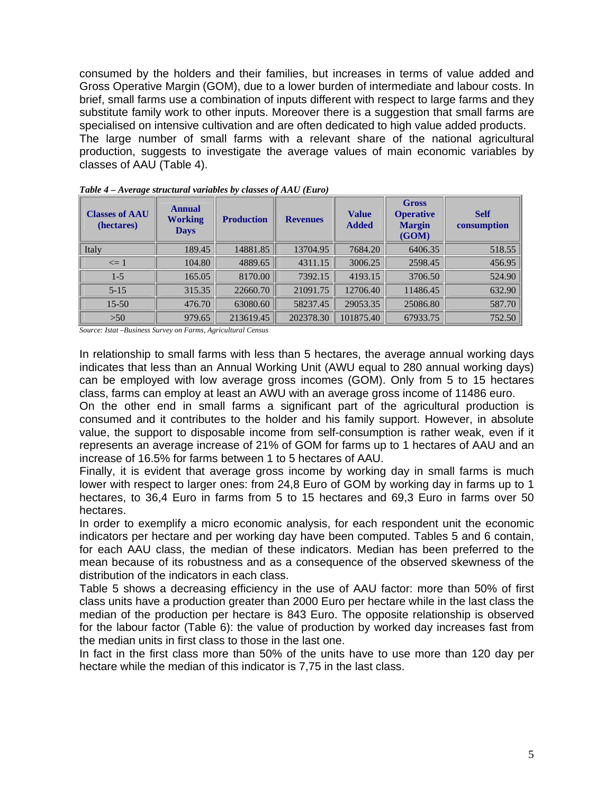consumed by the holders and their families, but increases in terms of value added and Gross Operative Margin (GOM), due to a lower burden of intermediate and labour costs. In brief, small farms use a combination of inputs different with respect to large farms and they substitute family work to other inputs. Moreover there is a suggestion that small farms are specialised on intensive cultivation and are often dedicated to high value added products. The large number of small farms with a relevant share of the national agricultural production, suggests to investigate the average values of main economic variables by classes of AAU (Table 4).

| <b>Classes of AAU</b><br>(hectares) | <b>Annual</b><br><b>Working</b><br><b>Days</b> | <b>Production</b> | <b>Revenues</b> | <b>Value</b><br><b>Added</b> | <b>Gross</b><br><b>Operative</b><br><b>Margin</b><br>(GOM) | <b>Self</b><br>consumption |
|-------------------------------------|------------------------------------------------|-------------------|-----------------|------------------------------|------------------------------------------------------------|----------------------------|
| Italy                               | 189.45                                         | 14881.85          | 13704.95        | 7684.20                      | 6406.35                                                    | 518.55                     |
| $\leq$ 1                            | 104.80                                         | 4889.65           | 4311.15         | 3006.25                      | 2598.45                                                    | 456.95                     |
| $1 - 5$                             | 165.05                                         | 8170.00           | 7392.15         | 4193.15                      | 3706.50                                                    | 524.90                     |
| $5 - 15$                            | 315.35                                         | 22660.70          | 21091.75        | 12706.40                     | 11486.45                                                   | 632.90                     |
| $15 - 50$                           | 476.70                                         | 63080.60          | 58237.45        | 29053.35                     | 25086.80                                                   | 587.70                     |
| >50                                 | 979.65                                         | 213619.45         | 202378.30       | 101875.40                    | 67933.75                                                   | 752.50                     |

*Table 4 – Average structural variables by classes of AAU (Euro)* 

*Source: Istat –Business Survey on Farms, Agricultural Census*

In relationship to small farms with less than 5 hectares, the average annual working days indicates that less than an Annual Working Unit (AWU equal to 280 annual working days) can be employed with low average gross incomes (GOM). Only from 5 to 15 hectares class, farms can employ at least an AWU with an average gross income of 11486 euro.

On the other end in small farms a significant part of the agricultural production is consumed and it contributes to the holder and his family support. However, in absolute value, the support to disposable income from self-consumption is rather weak, even if it represents an average increase of 21% of GOM for farms up to 1 hectares of AAU and an increase of 16.5% for farms between 1 to 5 hectares of AAU.

Finally, it is evident that average gross income by working day in small farms is much lower with respect to larger ones: from 24,8 Euro of GOM by working day in farms up to 1 hectares, to 36,4 Euro in farms from 5 to 15 hectares and 69,3 Euro in farms over 50 hectares.

In order to exemplify a micro economic analysis, for each respondent unit the economic indicators per hectare and per working day have been computed. Tables 5 and 6 contain, for each AAU class, the median of these indicators. Median has been preferred to the mean because of its robustness and as a consequence of the observed skewness of the distribution of the indicators in each class.

Table 5 shows a decreasing efficiency in the use of AAU factor: more than 50% of first class units have a production greater than 2000 Euro per hectare while in the last class the median of the production per hectare is 843 Euro. The opposite relationship is observed for the labour factor (Table 6): the value of production by worked day increases fast from the median units in first class to those in the last one.

In fact in the first class more than 50% of the units have to use more than 120 day per hectare while the median of this indicator is 7,75 in the last class.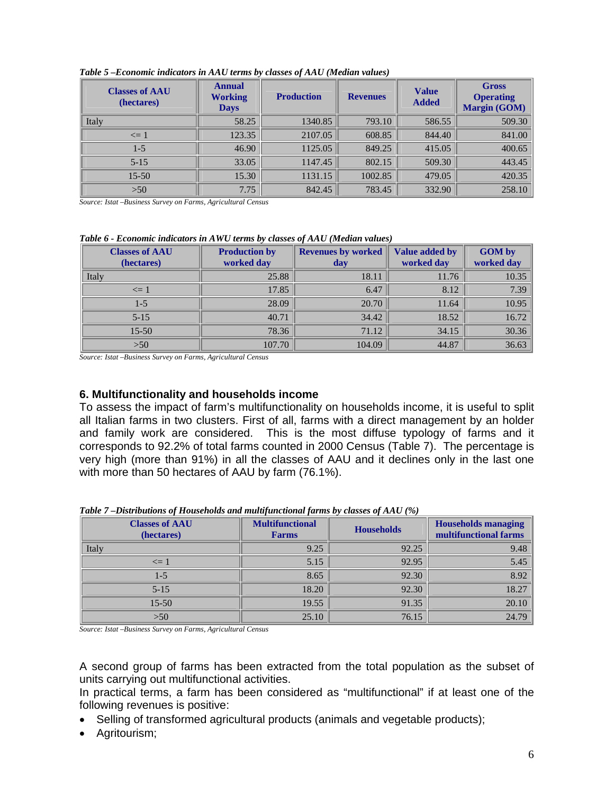| <b>Classes of AAU</b><br>(hectares) | <b>Annual</b><br><b>Working</b><br><b>Days</b> | <b>Production</b> | <b>Revenues</b> | <b>Value</b><br><b>Added</b> | <b>Gross</b><br><b>Operating</b><br><b>Margin (GOM)</b> |
|-------------------------------------|------------------------------------------------|-------------------|-----------------|------------------------------|---------------------------------------------------------|
| Italy                               | 58.25                                          | 1340.85           | 793.10          | 586.55                       | 509.30                                                  |
| $\leq$ 1                            | 123.35                                         | 2107.05           | 608.85          | 844.40                       | 841.00                                                  |
| $1 - 5$                             | 46.90                                          | 1125.05           | 849.25          | 415.05                       | 400.65                                                  |
| $5 - 15$                            | 33.05                                          | 1147.45           | 802.15          | 509.30                       | 443.45                                                  |
| $15 - 50$                           | 15.30                                          | 1131.15           | 1002.85         | 479.05                       | 420.35                                                  |
| $>50$                               | 7.75                                           | 842.45            | 783.45          | 332.90                       | 258.10                                                  |

#### *Table 5 –Economic indicators in AAU terms by classes of AAU (Median values)*

*Source: Istat –Business Survey on Farms, Agricultural Census*

| $\sim$ were a moderning distribution of the set $\sim$ . The construction of the control $\sim$ |                      |                           |                |               |  |  |  |  |  |
|-------------------------------------------------------------------------------------------------|----------------------|---------------------------|----------------|---------------|--|--|--|--|--|
| <b>Classes of AAU</b>                                                                           | <b>Production by</b> | <b>Revenues by worked</b> | Value added by | <b>GOM by</b> |  |  |  |  |  |
| (hectares)                                                                                      | worked day           | day                       | worked day     | worked day    |  |  |  |  |  |
| Italy                                                                                           | 25.88                | 18.11                     | 11.76          | 10.35         |  |  |  |  |  |
| $\leq 1$                                                                                        | 17.85                | 6.47                      | 8.12           | 7.39          |  |  |  |  |  |
| $1 - 5$                                                                                         | 28.09                | 20.70                     | 11.64          | 10.95         |  |  |  |  |  |
| $5 - 15$                                                                                        | 40.71                | 34.42                     | 18.52          | 16.72         |  |  |  |  |  |
| $15 - 50$                                                                                       | 78.36                | 71.12                     | 34.15          | 30.36         |  |  |  |  |  |
| >50                                                                                             | 107.70               | 104.09                    | 44.87          | 36.63         |  |  |  |  |  |

#### *Table 6 - Economic indicators in AWU terms by classes of AAU (Median values)*

*Source: Istat –Business Survey on Farms, Agricultural Census*

#### **6. Multifunctionality and households income**

To assess the impact of farm's multifunctionality on households income, it is useful to split all Italian farms in two clusters. First of all, farms with a direct management by an holder and family work are considered. This is the most diffuse typology of farms and it corresponds to 92.2% of total farms counted in 2000 Census (Table 7). The percentage is very high (more than 91%) in all the classes of AAU and it declines only in the last one with more than 50 hectares of AAU by farm (76.1%).

| <b>Classes of AAU</b><br>(hectares) | <b>Multifunctional</b><br><b>Farms</b> | <b>Households</b> | <b>Households managing</b><br>multifunctional farms |  |
|-------------------------------------|----------------------------------------|-------------------|-----------------------------------------------------|--|
| Italy                               | 9.25                                   | 92.25             | 9.48                                                |  |
| $\leq 1$                            | 5.15                                   | 92.95             | 5.45                                                |  |
| $1 - 5$                             | 8.65                                   | 92.30             | 8.92                                                |  |
| $5 - 15$                            | 18.20                                  | 92.30             | 18.27                                               |  |
| $15 - 50$                           | 19.55                                  | 91.35             | 20.10                                               |  |
| >50                                 | 25.10                                  | 76.15             | 24.79                                               |  |

*Table 7 –Distributions of Households and multifunctional farms by classes of AAU (%)* 

*Source: Istat –Business Survey on Farms, Agricultural Census*

A second group of farms has been extracted from the total population as the subset of units carrying out multifunctional activities.

In practical terms, a farm has been considered as "multifunctional" if at least one of the following revenues is positive:

- Selling of transformed agricultural products (animals and vegetable products);
- Agritourism;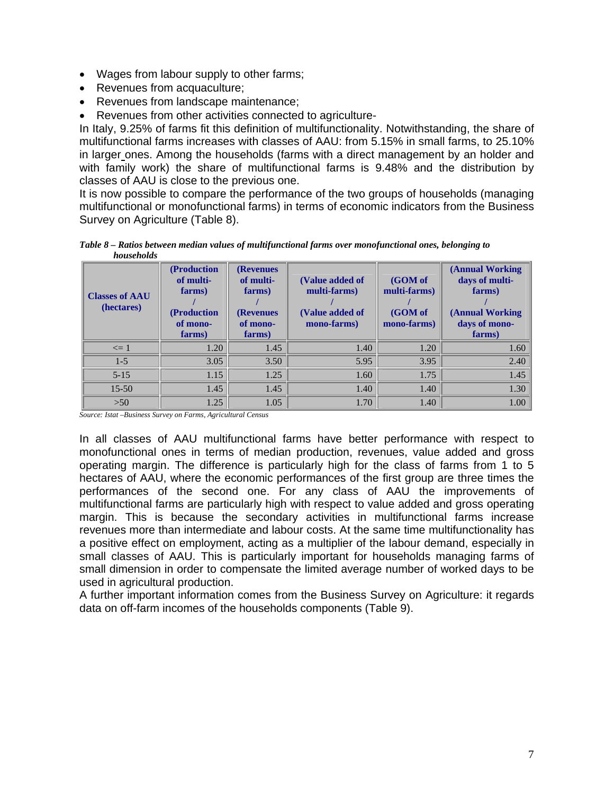- Wages from labour supply to other farms;
- Revenues from acquaculture;
- Revenues from landscape maintenance;
- Revenues from other activities connected to agriculture-

In Italy, 9.25% of farms fit this definition of multifunctionality. Notwithstanding, the share of multifunctional farms increases with classes of AAU: from 5.15% in small farms, to 25.10% in larger ones. Among the households (farms with a direct management by an holder and with family work) the share of multifunctional farms is 9.48% and the distribution by classes of AAU is close to the previous one.

It is now possible to compare the performance of the two groups of households (managing multifunctional or monofunctional farms) in terms of economic indicators from the Business Survey on Agriculture (Table 8).

*Table 8 – Ratios between median values of multifunctional farms over monofunctional ones, belonging to households* 

| <b>Classes of AAU</b><br>(hectares) | (Production)<br>of multi-<br>farms)<br>(Production)<br>of mono-<br>farms) | <b>(Revenues)</b><br>of multi-<br>farms)<br><b>(Revenues</b><br>of mono-<br>farms) | (Value added of<br>multi-farms)<br>(Value added of<br>mono-farms) | (GOM of<br>multi-farms)<br>(GOM of<br>mono-farms) | (Annual Working)<br>days of multi-<br>farms)<br>(Annual Working)<br>days of mono-<br>farms) |
|-------------------------------------|---------------------------------------------------------------------------|------------------------------------------------------------------------------------|-------------------------------------------------------------------|---------------------------------------------------|---------------------------------------------------------------------------------------------|
| $\leq 1$                            | 1.20                                                                      | 1.45                                                                               | 1.40                                                              | 1.20                                              | 1.60                                                                                        |
| $1-5$                               | 3.05                                                                      | 3.50                                                                               | 5.95                                                              | 3.95                                              | 2.40                                                                                        |
| $5-15$                              | 1.15                                                                      | 1.25                                                                               | 1.60                                                              | 1.75                                              | 1.45                                                                                        |
| $15 - 50$                           | 1.45                                                                      | 1.45                                                                               | 1.40                                                              | 1.40                                              | 1.30                                                                                        |
| $>50$                               | 1.25                                                                      | 1.05                                                                               | 1.70                                                              | 1.40                                              | 1.00                                                                                        |

*Source: Istat –Business Survey on Farms, Agricultural Census*

In all classes of AAU multifunctional farms have better performance with respect to monofunctional ones in terms of median production, revenues, value added and gross operating margin. The difference is particularly high for the class of farms from 1 to 5 hectares of AAU, where the economic performances of the first group are three times the performances of the second one. For any class of AAU the improvements of multifunctional farms are particularly high with respect to value added and gross operating margin. This is because the secondary activities in multifunctional farms increase revenues more than intermediate and labour costs. At the same time multifunctionality has a positive effect on employment, acting as a multiplier of the labour demand, especially in small classes of AAU. This is particularly important for households managing farms of small dimension in order to compensate the limited average number of worked days to be used in agricultural production.

A further important information comes from the Business Survey on Agriculture: it regards data on off-farm incomes of the households components (Table 9).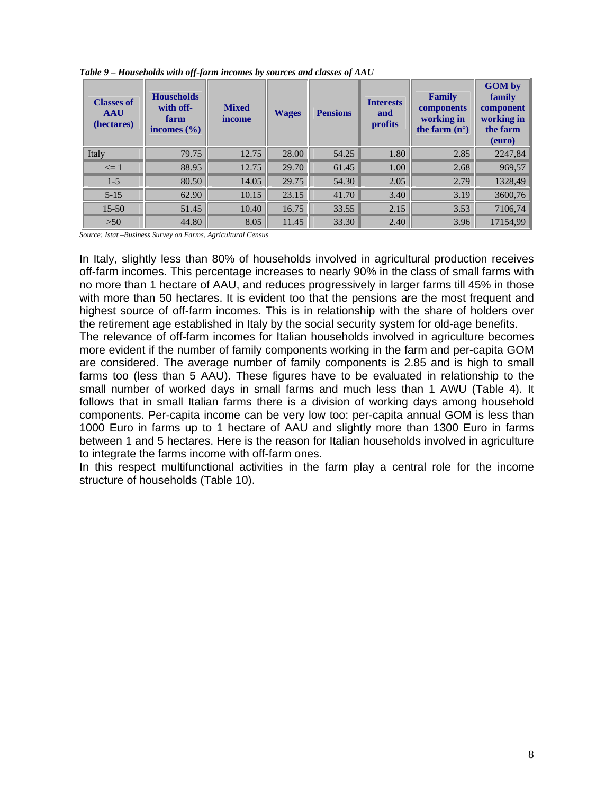| <b>Classes of</b><br><b>AAU</b><br>(hectares) | <b>Households</b><br>with off-<br>farm<br>incomes $(\% )$ | <b>Mixed</b><br>income | <b>Wages</b> | <b>Pensions</b> | <b>Interests</b><br>and<br>profits | <b>Family</b><br>components<br>working in<br>the farm $(n^{\circ})$ | <b>GOM</b> by<br>family<br>component<br>working in<br>the farm<br>(euro) |
|-----------------------------------------------|-----------------------------------------------------------|------------------------|--------------|-----------------|------------------------------------|---------------------------------------------------------------------|--------------------------------------------------------------------------|
| Italy                                         | 79.75                                                     | 12.75                  | 28.00        | 54.25           | 1.80                               | 2.85                                                                | 2247,84                                                                  |
| $\leq 1$                                      | 88.95                                                     | 12.75                  | 29.70        | 61.45           | 1.00                               | 2.68                                                                | 969,57                                                                   |
| $1 - 5$                                       | 80.50                                                     | 14.05                  | 29.75        | 54.30           | 2.05                               | 2.79                                                                | 1328,49                                                                  |
| $5 - 15$                                      | 62.90                                                     | 10.15                  | 23.15        | 41.70           | 3.40                               | 3.19                                                                | 3600,76                                                                  |
| $15 - 50$                                     | 51.45                                                     | 10.40                  | 16.75        | 33.55           | 2.15                               | 3.53                                                                | 7106,74                                                                  |
| >50                                           | 44.80                                                     | 8.05                   | 11.45        | 33.30           | 2.40                               | 3.96                                                                | 17154,99                                                                 |

*Table 9 – Households with off-farm incomes by sources and classes of AAU*

*Source: Istat –Business Survey on Farms, Agricultural Census*

In Italy, slightly less than 80% of households involved in agricultural production receives off-farm incomes. This percentage increases to nearly 90% in the class of small farms with no more than 1 hectare of AAU, and reduces progressively in larger farms till 45% in those with more than 50 hectares. It is evident too that the pensions are the most frequent and highest source of off-farm incomes. This is in relationship with the share of holders over the retirement age established in Italy by the social security system for old-age benefits.

The relevance of off-farm incomes for Italian households involved in agriculture becomes more evident if the number of family components working in the farm and per-capita GOM are considered. The average number of family components is 2.85 and is high to small farms too (less than 5 AAU). These figures have to be evaluated in relationship to the small number of worked days in small farms and much less than 1 AWU (Table 4). It follows that in small Italian farms there is a division of working days among household components. Per-capita income can be very low too: per-capita annual GOM is less than 1000 Euro in farms up to 1 hectare of AAU and slightly more than 1300 Euro in farms between 1 and 5 hectares. Here is the reason for Italian households involved in agriculture to integrate the farms income with off-farm ones.

In this respect multifunctional activities in the farm play a central role for the income structure of households (Table 10).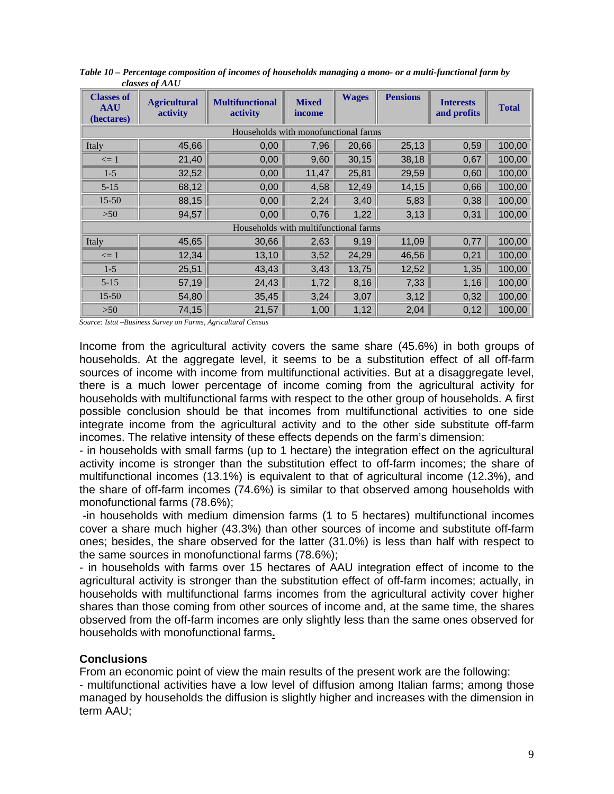| <b>Classes of</b><br><b>AAU</b><br>(hectares) | <b>Agricultural</b><br>activity | <b>Multifunctional</b><br>activity    | <b>Mixed</b><br>income | <b>Wages</b> | <b>Pensions</b> | <b>Interests</b><br>and profits | <b>Total</b> |
|-----------------------------------------------|---------------------------------|---------------------------------------|------------------------|--------------|-----------------|---------------------------------|--------------|
|                                               |                                 | Households with monofunctional farms  |                        |              |                 |                                 |              |
| Italy                                         | 45,66                           | 0,00                                  | 7,96                   | 20,66        | 25,13           | 0,59                            | 100,00       |
| $\leq 1$                                      | 21,40                           | 0,00                                  | 9,60                   | 30,15        | 38,18           | 0,67                            | 100,00       |
| $1 - 5$                                       | 32,52                           | 0,00                                  | 11,47                  | 25,81        | 29,59           | 0,60                            | 100,00       |
| $5 - 15$                                      | 68,12                           | 0,00                                  | 4,58                   | 12,49        | 14,15           | 0,66                            | 100,00       |
| 15-50                                         | 88,15                           | 0,00                                  | 2,24                   | 3,40         | 5,83            | 0,38                            | 100,00       |
| $>50$                                         | 94,57                           | 0,00                                  | 0,76                   | 1,22         | 3,13            | 0,31                            | 100,00       |
|                                               |                                 | Households with multifunctional farms |                        |              |                 |                                 |              |
| Italy                                         | 45,65                           | 30,66                                 | 2,63                   | 9,19         | 11,09           | 0,77                            | 100,00       |
| $\leq 1$                                      | 12,34                           | 13,10                                 | 3,52                   | 24,29        | 46,56           | 0,21                            | 100,00       |
| $1 - 5$                                       | 25,51                           | 43,43                                 | 3,43                   | 13,75        | 12,52           | 1,35                            | 100,00       |
| $5 - 15$                                      | 57,19                           | 24,43                                 | 1,72                   | 8,16         | 7,33            | 1,16                            | 100,00       |
| $15 - 50$                                     | 54,80                           | 35,45                                 | 3,24                   | 3,07         | 3,12            | 0,32                            | 100,00       |
| $>50$                                         | 74,15                           | 21,57                                 | 1,00                   | 1,12         | 2,04            | 0,12                            | 100,00       |

*Table 10 – Percentage composition of incomes of households managing a mono- or a multi-functional farm by classes of AAU* 

*Source: Istat –Business Survey on Farms, Agricultural Census*

Income from the agricultural activity covers the same share (45.6%) in both groups of households. At the aggregate level, it seems to be a substitution effect of all off-farm sources of income with income from multifunctional activities. But at a disaggregate level, there is a much lower percentage of income coming from the agricultural activity for households with multifunctional farms with respect to the other group of households. A first possible conclusion should be that incomes from multifunctional activities to one side integrate income from the agricultural activity and to the other side substitute off-farm incomes. The relative intensity of these effects depends on the farm's dimension:

- in households with small farms (up to 1 hectare) the integration effect on the agricultural activity income is stronger than the substitution effect to off-farm incomes; the share of multifunctional incomes (13.1%) is equivalent to that of agricultural income (12.3%), and the share of off-farm incomes (74.6%) is similar to that observed among households with monofunctional farms (78.6%);

 -in households with medium dimension farms (1 to 5 hectares) multifunctional incomes cover a share much higher (43.3%) than other sources of income and substitute off-farm ones; besides, the share observed for the latter (31.0%) is less than half with respect to the same sources in monofunctional farms (78.6%);

- in households with farms over 15 hectares of AAU integration effect of income to the agricultural activity is stronger than the substitution effect of off-farm incomes; actually, in households with multifunctional farms incomes from the agricultural activity cover higher shares than those coming from other sources of income and, at the same time, the shares observed from the off-farm incomes are only slightly less than the same ones observed for households with monofunctional farms**.**

#### **Conclusions**

From an economic point of view the main results of the present work are the following:

- multifunctional activities have a low level of diffusion among Italian farms; among those managed by households the diffusion is slightly higher and increases with the dimension in term AAU;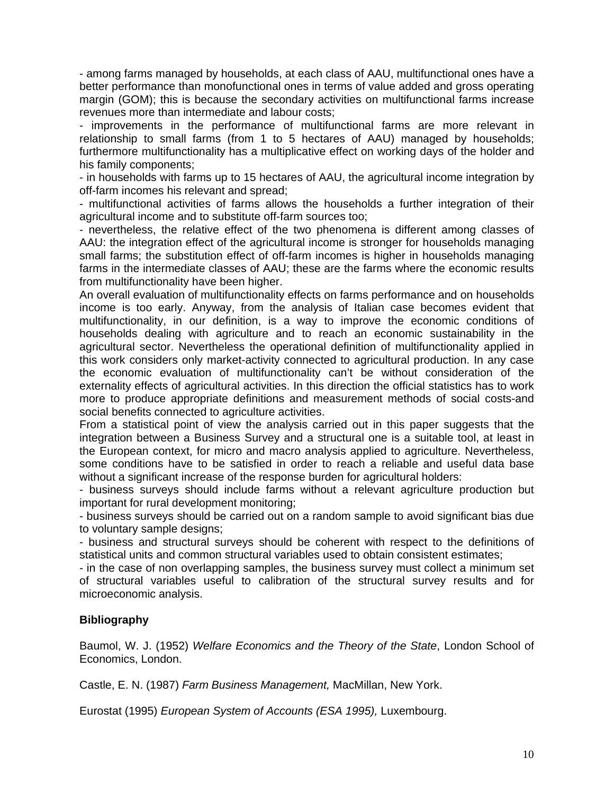- among farms managed by households, at each class of AAU, multifunctional ones have a better performance than monofunctional ones in terms of value added and gross operating margin (GOM); this is because the secondary activities on multifunctional farms increase revenues more than intermediate and labour costs;

- improvements in the performance of multifunctional farms are more relevant in relationship to small farms (from 1 to 5 hectares of AAU) managed by households; furthermore multifunctionality has a multiplicative effect on working days of the holder and his family components;

- in households with farms up to 15 hectares of AAU, the agricultural income integration by off-farm incomes his relevant and spread;

- multifunctional activities of farms allows the households a further integration of their agricultural income and to substitute off-farm sources too;

- nevertheless, the relative effect of the two phenomena is different among classes of AAU: the integration effect of the agricultural income is stronger for households managing small farms; the substitution effect of off-farm incomes is higher in households managing farms in the intermediate classes of AAU; these are the farms where the economic results from multifunctionality have been higher.

An overall evaluation of multifunctionality effects on farms performance and on households income is too early. Anyway, from the analysis of Italian case becomes evident that multifunctionality, in our definition, is a way to improve the economic conditions of households dealing with agriculture and to reach an economic sustainability in the agricultural sector. Nevertheless the operational definition of multifunctionality applied in this work considers only market-activity connected to agricultural production. In any case the economic evaluation of multifunctionality can't be without consideration of the externality effects of agricultural activities. In this direction the official statistics has to work more to produce appropriate definitions and measurement methods of social costs-and social benefits connected to agriculture activities.

From a statistical point of view the analysis carried out in this paper suggests that the integration between a Business Survey and a structural one is a suitable tool, at least in the European context, for micro and macro analysis applied to agriculture. Nevertheless, some conditions have to be satisfied in order to reach a reliable and useful data base without a significant increase of the response burden for agricultural holders:

- business surveys should include farms without a relevant agriculture production but important for rural development monitoring;

- business surveys should be carried out on a random sample to avoid significant bias due to voluntary sample designs;

- business and structural surveys should be coherent with respect to the definitions of statistical units and common structural variables used to obtain consistent estimates;

- in the case of non overlapping samples, the business survey must collect a minimum set of structural variables useful to calibration of the structural survey results and for microeconomic analysis.

# **Bibliography**

Baumol, W. J. (1952) *Welfare Economics and the Theory of the State*, London School of Economics, London.

Castle, E. N. (1987) *Farm Business Management,* MacMillan, New York.

Eurostat (1995) *European System of Accounts (ESA 1995),* Luxembourg.